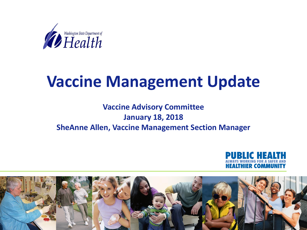

### **Vaccine Management Update**

#### **Vaccine Advisory Committee January 18, 2018 SheAnne Allen, Vaccine Management Section Manager**



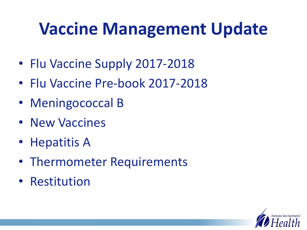## **Vaccine Management Update**

- Flu Vaccine Supply 2017-2018
- Flu Vaccine Pre-book 2017-2018
- Meningococcal B
- New Vaccines
- Hepatitis A
- Thermometer Requirements
- Restitution

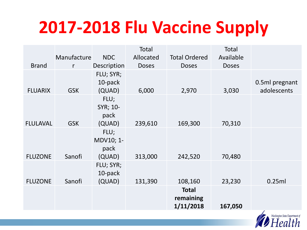## **2017-2018 Flu Vaccine Supply**

|                 |              |             | Total        |                      | Total        |                |
|-----------------|--------------|-------------|--------------|----------------------|--------------|----------------|
|                 | Manufacture  | <b>NDC</b>  | Allocated    | <b>Total Ordered</b> | Available    |                |
| <b>Brand</b>    | $\mathsf{r}$ | Description | <b>Doses</b> | <b>Doses</b>         | <b>Doses</b> |                |
|                 |              | FLU; SYR;   |              |                      |              |                |
|                 |              | 10-pack     |              |                      |              | 0.5ml pregnant |
| <b>FLUARIX</b>  | <b>GSK</b>   | (QUAD)      | 6,000        | 2,970                | 3,030        | adolescents    |
|                 |              | FLU;        |              |                      |              |                |
|                 |              | SYR; 10-    |              |                      |              |                |
|                 |              | pack        |              |                      |              |                |
| <b>FLULAVAL</b> | <b>GSK</b>   | (QUAD)      | 239,610      | 169,300              | 70,310       |                |
|                 |              | FLU;        |              |                      |              |                |
|                 |              | MDV10; 1-   |              |                      |              |                |
|                 |              | pack        |              |                      |              |                |
| <b>FLUZONE</b>  | Sanofi       | (QUAD)      | 313,000      | 242,520              | 70,480       |                |
|                 |              | FLU; SYR;   |              |                      |              |                |
|                 |              | 10-pack     |              |                      |              |                |
| <b>FLUZONE</b>  | Sanofi       | (QUAD)      | 131,390      | 108,160              | 23,230       | 0.25ml         |
|                 |              |             |              | <b>Total</b>         |              |                |
|                 |              |             |              | remaining            |              |                |
|                 |              |             |              | 1/11/2018            | 167,050      | $\mathcal{I}$  |

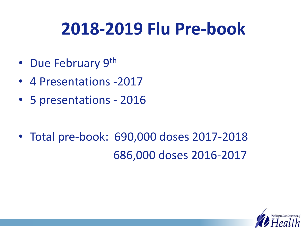## **2018-2019 Flu Pre-book**

- Due February 9th
- 4 Presentations -2017
- 5 presentations 2016
- Total pre-book: 690,000 doses 2017-2018 686,000 doses 2016-2017

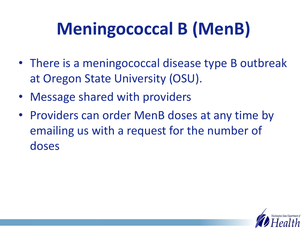# **Meningococcal B (MenB)**

- There is a meningococcal disease type B outbreak at Oregon State University (OSU).
- Message shared with providers
- Providers can order MenB doses at any time by emailing us with a request for the number of doses

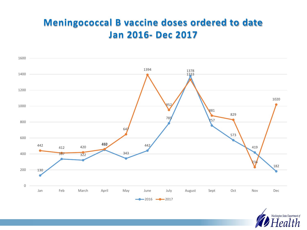#### **Meningococcal B vaccine doses ordered to date Jan 2016- Dec 2017**



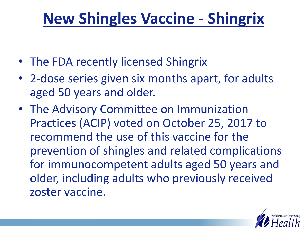#### **New Shingles Vaccine - Shingrix**

- The FDA recently licensed Shingrix
- 2-dose series given six months apart, for adults aged 50 years and older.
- The Advisory Committee on Immunization Practices (ACIP) voted on October 25, 2017 to recommend the use of this vaccine for the prevention of shingles and related complications for immunocompetent adults aged 50 years and older, including adults who previously received zoster vaccine.

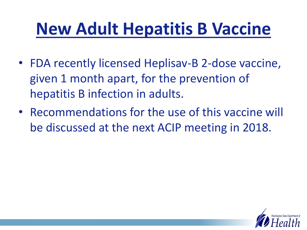## **New Adult Hepatitis B Vaccine**

- FDA recently licensed Heplisav-B 2-dose vaccine, given 1 month apart, for the prevention of hepatitis B infection in adults.
- Recommendations for the use of this vaccine will be discussed at the next ACIP meeting in 2018.

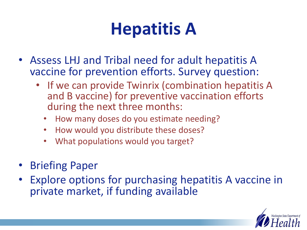## **Hepatitis A**

- Assess LHJ and Tribal need for adult hepatitis A vaccine for prevention efforts. Survey question:
	- If we can provide Twinrix (combination hepatitis A and B vaccine) for preventive vaccination efforts during the next three months:
		- How many doses do you estimate needing?
		- How would you distribute these doses?
		- What populations would you target?
- Briefing Paper
- Explore options for purchasing hepatitis A vaccine in private market, if funding available

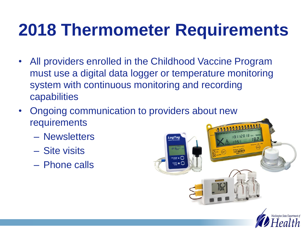## **2018 Thermometer Requirements**

- All providers enrolled in the Childhood Vaccine Program must use a digital data logger or temperature monitoring system with continuous monitoring and recording capabilities
- Ongoing communication to providers about new requirements
	- Newsletters
	- Site visits
	- Phone calls

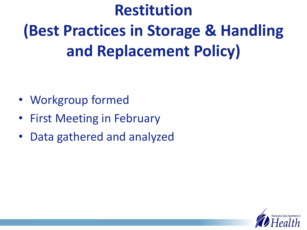# **Restitution (Best Practices in Storage & Handling and Replacement Policy)**

- Workgroup formed
- First Meeting in February
- Data gathered and analyzed